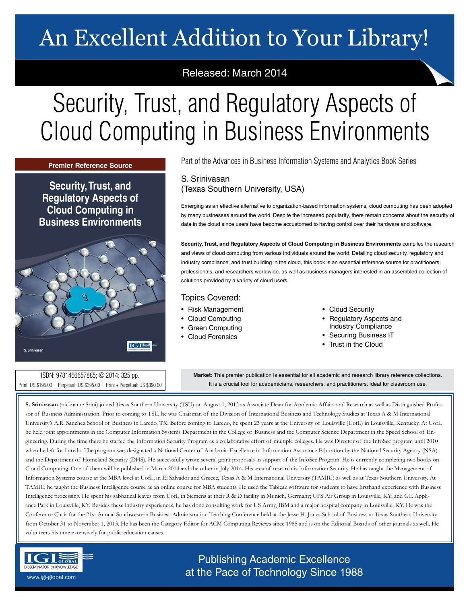## An Excellent Addition to Your Library!

## Released: March 2014

# Security, Trust, and Regulatory Aspects of Cloud Computing in Business Environments

**Premier Reference Source** 

**Security, Trust, and Regulatory Aspects of Cloud Computing in Business Environments** 



Part of the Advances in Business Information Systems and Analytics Book Series

### S. Srinivasan (Texas Southern University, USA)

Emerging as an effective alternative to organization-based information systems, cloud computing has been adopted by many businesses around the world. Despite the increased popularity, there remain concerns about the security of data in the cloud since users have become accustomed to having control over their hardware and software.

**Security, Trust, and Regulatory Aspects of Cloud Computing in Business Environments** compiles the research and views of cloud computing from various individuals around the world. Detailing cloud security, regulatory and industry compliance, and trust building in the cloud, this book is an essential reference source for practitioners, professionals, and researchers worldwide, as well as business managers interested in an assembled collection of solutions provided by a variety of cloud users.

### Topics Covered:

- Risk Management
- Cloud Computing
- Green Computing
- Cloud Forensics
- Cloud Security
- Regulatory Aspects and Industry Compliance
- Securing Business IT
- Trust in the Cloud

ISBN: 9781466657885; © 2014; 325 pp. Print: US \$195.00 | Perpetual: US \$295.00 | Print + Perpetual: US \$390.00

**Market:** This premier publication is essential for all academic and research library reference collections. It is a crucial tool for academicians, researchers, and practitioners. Ideal for classroom use.

**S. Srinivasan** (nickname Srini) joined Texas Southern University (TSU) on August 1, 2013 as Associate Dean for Academic Affairs and Research as well as Distinguished Professor of Business Administration. Prior to coming to TSU, he was Chairman of the Division of International Business and Technology Studies at Texas A & M International University's A.R. Sanchez School of Business in Laredo, TX. Before coming to Laredo, he spent 23 years at the University of Louisville (UofL) in Louisville, Kentucky. At UofL he held joint appointments in the Computer Information Systems Department in the College of Business and the Computer Science Department in the Speed School of Engineering. During the time there he started the Information Security Program as a collaborative effort of multiple colleges. He was Director of the InfoSec program until 2010 when he left for Laredo. The program was designated a National Center of Academic Excellence in Information Assurance Education by the National Security Agency (NSA) and the Department of Homeland Security (DHS). He successfully wrote several grant proposals in support of the InfoSec Program. He is currently completing two books on Cloud Computing. One of them will be published in March 2014 and the other in July 2014. His area of research is Information Security. He has taught the Management of Information Systems course at the MBA level at UofL, in El Salvador and Greece, Texas A & M International University (TAMIU) as well as at Texas Southern University. At TAMIU, he taught the Business Intelligence course as an online course for MBA students. He used the Tableau software for students to have firsthand experience with Business Intelligence processing. He spent his sabbatical leaves from UofL in Siemens at their R & D facility in Munich, Germany; UPS Air Group in Louisville, KY; and GE Appliance Park in Louisville, KY. Besides these industry experiences, he has done consulting work for US Army, IBM and a major hospital company in Louisville, KY. He was the Conference Chair for the 21st Annual Southwestern Business Administration Teaching Conference held at the Jesse H. Jones School of Business at Texas Southern University from October 31 to November 1, 2013. He has been the Category Editor for ACM Computing Reviews since 1985 and is on the Editorial Boards of other journals as well. He volunteers his time extensively for public education causes.



Publishing Academic Excellence **at the Pace of Technology Since 1988** www.igi-global.com